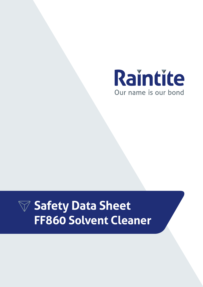

# **Safety Data Sheet FF860 Solvent Cleaner**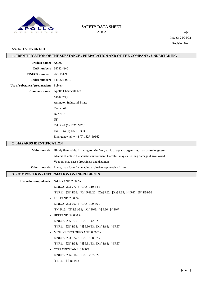

AS002 Page 1 Issued: 25/06/02 Revision No: 1

## Sent to: FATRA UK LTD

# **1. IDENTIFICATION OF THE SUBSTANCE / PREPARATION AND OF THE COMPANY / UNDERTAKING**

| Product name: AS002                         |                                                                                                          |  |
|---------------------------------------------|----------------------------------------------------------------------------------------------------------|--|
| CAS number: 64742-49-0                      |                                                                                                          |  |
| <b>EINECS</b> number:                       | 265-151-9                                                                                                |  |
| Index number:                               | 649-328-00-1                                                                                             |  |
| Use of substance / preparation:             | Solvent                                                                                                  |  |
| Company name:                               | Apollo Chemicals Ltd                                                                                     |  |
|                                             | Sandy Way                                                                                                |  |
|                                             | Amington Industrial Estate                                                                               |  |
|                                             | Tamworth                                                                                                 |  |
|                                             | <b>B774DS</b>                                                                                            |  |
|                                             | UK                                                                                                       |  |
|                                             | Tel: $+44(0)$ 1827 54281                                                                                 |  |
|                                             | Fax: $+44(0)$ 1827 53030                                                                                 |  |
|                                             | Emergency tel: $+44(0)$ 1827 69662                                                                       |  |
| 2. HAZARDS IDENTIFICATION                   |                                                                                                          |  |
|                                             | Main hazards: Highly flammable. Irritating to skin. Very toxic to aquatic organisms, may cause long-term |  |
|                                             | adverse effects in the aquatic environment. Harmful: may cause lung damage if swallowed.                 |  |
|                                             | Vapours may cause drowsiness and dizziness.                                                              |  |
|                                             | Other hazards: In use, may form flammable / explosive vapour-air mixture.                                |  |
| 3. COMPOSITION / INFORMATION ON INGREDIENTS |                                                                                                          |  |
|                                             |                                                                                                          |  |
| Hazardous ingredients: N-HEXANE 2.000%      |                                                                                                          |  |
|                                             | EINECS: 203-777-6 CAS: 110-54-3                                                                          |  |
|                                             | [F] R11; [Xi] R38; [Xn] R48/20; [Xn] R62; [Xn] R65; [-] R67; [N] R51/53                                  |  |
| $\bullet$                                   | PENTANE 2.000%                                                                                           |  |
|                                             | EINECS: 203-692-4 CAS: 109-66-0                                                                          |  |
|                                             | [F+] R12; [N] R51/53; [Xn] R65; [-] R66; [-] R67                                                         |  |
|                                             | • HEPTANE 52.000%                                                                                        |  |
|                                             | EINECS: 205-563-8 CAS: 142-82-5                                                                          |  |
|                                             | [F] R11; [Xi] R38; [N] R50/53; [Xn] R65; [-] R67                                                         |  |
|                                             | • METHYLCYCLOHEXANE 8.000%                                                                               |  |
|                                             | EINECS: 203-624-3 CAS: 108-87-2                                                                          |  |
|                                             | [F] R11; [Xi] R38; [N] R51/53; [Xn] R65; [-] R67                                                         |  |
|                                             | • CYCLOPENTANE 6.000%                                                                                    |  |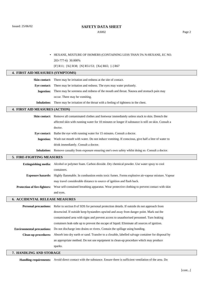AS002 Page 2

**•** HEXANE, MIXTURE OF ISOMERS (CONTAINING LESS THAN 5% N-HEXANE, EC NO. 203-777-6) 30.000%

[F] R11; [Xi] R38; [N] R51/53; [Xn] R65; [-] R67

### **4. FIRST AID MEASURES (SYMPTOMS)**

**Skin contact:** There may be irritation and redness at the site of contact. **Eye contact:** There may be irritation and redness. The eyes may water profusely. **Ingestion:** There may be soreness and redness of the mouth and throat. Nausea and stomach pain may occur. There may be vomiting. **Inhalation:** There may be irritation of the throat with a feeling of tightness in the chest. **4. FIRST AID MEASURES (ACTION) Skin contact:** Remove all contaminated clothes and footwear immediately unless stuck to skin. Drench the affected skin with running water for 10 minutes or longer if substance is still on skin. Consult a doctor.

**Eye contact:** Bathe the eye with running water for 15 minutes. Consult a doctor.

**Ingestion:** Wash out mouth with water. Do not induce vomiting. If conscious, give half a litre of water to drink immediately. Consult a doctor.

**Inhalation:** Remove casualty from exposure ensuring one's own safety whilst doing so. Consult a doctor.

### **5. FIRE-FIGHTING MEASURES**

| Extinguishing media:         | Alcohol or polymer foam. Carbon dioxide. Dry chemical powder. Use water spray to cool          |
|------------------------------|------------------------------------------------------------------------------------------------|
|                              | containers.                                                                                    |
| <b>Exposure hazards:</b>     | Highly flammable. In combustion emits toxic fumes. Forms explosive air-vapour mixture. Vapour  |
|                              | may travel considerable distance to source of ignition and flash back.                         |
| Protection of fire-fighters: | Wear self-contained breathing apparatus. Wear protective clothing to prevent contact with skin |
|                              | and eyes.                                                                                      |

## **6. ACCIDENTAL RELEASE MEASURES**

|                             | <b>Personal precautions:</b> Refer to section 8 of SDS for personal protection details. If outside do not approach from |  |
|-----------------------------|-------------------------------------------------------------------------------------------------------------------------|--|
|                             | downwind. If outside keep bystanders upwind and away from danger point. Mark out the                                    |  |
|                             | contaminated area with signs and prevent access to unauthorised personnel. Turn leaking                                 |  |
|                             | containers leak-side up to prevent the escape of liquid. Eliminate all sources of ignition.                             |  |
|                             | <b>Environmental precautions:</b> Do not discharge into drains or rivers. Contain the spillage using bunding.           |  |
| <b>Clean-up procedures:</b> | Absorb into dry earth or sand. Transfer to a closable, labelled salvage container for disposal by                       |  |
|                             | an appropriate method. Do not use equipment in clean-up procedure which may produce                                     |  |
|                             | sparks.                                                                                                                 |  |

## **7. HANDLING AND STORAGE**

**Handling requirements:** Avoid direct contact with the substance. Ensure there is sufficient ventilation of the area. Do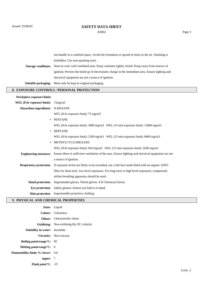AS002 Page 3

i.

|                                            | not handle in a confined space. Avoid the formation or spread of mists in the air. Smoking is        |  |
|--------------------------------------------|------------------------------------------------------------------------------------------------------|--|
|                                            | forbidden. Use non-sparking tools.                                                                   |  |
| <b>Storage conditions:</b>                 | Store in cool, well ventilated area. Keep container tightly closed. Keep away from sources of        |  |
|                                            | ignition. Prevent the build up of electrostatic charge in the immediate area. Ensure lighting and    |  |
|                                            | electrical equipment are not a source of ignition.                                                   |  |
| Suitable packaging:                        | Must only be kept in original packaging.                                                             |  |
| 8. EXPOSURE CONTROLS / PERSONAL PROTECTION |                                                                                                      |  |
| <b>Workplace exposure limits</b>           |                                                                                                      |  |
| WEL (8 hr exposure limit):                 | 72mg/m3                                                                                              |  |
| <b>Hazardous ingredients:</b>              | <b>N-HEXANE</b>                                                                                      |  |
|                                            | WEL $(8 \text{ hr exposure limit})$ : 72 mg/m3                                                       |  |
| $\bullet$                                  | <b>PENTANE</b>                                                                                       |  |
|                                            | WEL (8 hr exposure limit): 3000 mg/m3 WEL (15 min exposure limit): 12000 mg/m3                       |  |
| $\bullet$                                  | <b>HEPTANE</b>                                                                                       |  |
|                                            | WEL (8 hr exposure limit): $2100 \text{ mg/m}$ 3 WEL (15 min exposure limit): $8400 \text{ mg/m}$ 3  |  |
|                                            | METHYLCYCLOHEXANE                                                                                    |  |
|                                            | WEL (8 hr exposure limit): 810 mg/m3 WEL (15 min exposure limit): 3240 mg/m3                         |  |
| <b>Engineering measures:</b>               | Ensure there is sufficient ventilation of the area. Ensure lighting and electrical equipment are not |  |
|                                            | a source of ignition.                                                                                |  |
| <b>Respiratory protection:</b>             | If exposure levels are likely to be exceeded, use a full face mask fitted with an organic AXP3       |  |
|                                            | filter for short term low level exposures. For long term or high level exposures, compressed         |  |
|                                            | airline breathing apparatus should be used.                                                          |  |
| <b>Hand protection:</b>                    | Impermeable gloves. Nitrile gloves. 4 H Chemical Gloves                                              |  |
| Eye protection:                            | Safety glasses. Ensure eye bath is to hand.                                                          |  |
|                                            | Skin protection: Impermeable protective clothing.                                                    |  |

# **9. PHYSICAL AND CHEMICAL PROPERTIES**

|                                               | State: Liquid                                    |
|-----------------------------------------------|--------------------------------------------------|
|                                               | Colour: Colourless                               |
|                                               | <b>Odour:</b> Characteristic odour               |
|                                               | <b>Oxidising:</b> Non-oxidising (by EC criteria) |
| <b>Solubility in water:</b> Insoluble         |                                                  |
|                                               | Viscosity: Non-viscous                           |
| <b>Boiling point/range <math>C: 60</math></b> |                                                  |
| Melting point/range $\mathrm{C}$ : 0          |                                                  |
| <b>Flammability limits %: lower:</b> 0.6      |                                                  |
| upper: $7$                                    |                                                  |
| <b>Flash point C:</b> $-21$                   |                                                  |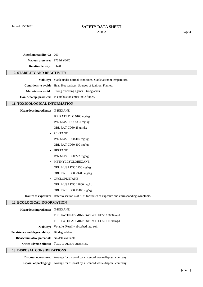Issued: 25/06/02

## **SAFETY DATA SHEET**

AS002 Page 4

| Autoflammability°C: 260                       |                                                                                                  |  |
|-----------------------------------------------|--------------------------------------------------------------------------------------------------|--|
| Vapour pressure:                              | 170 hPa/20C                                                                                      |  |
| Relative density: 0.678                       |                                                                                                  |  |
| <b>10. STABILITY AND REACTIVITY</b>           |                                                                                                  |  |
|                                               | Stability: Stable under normal conditions. Stable at room temperature.                           |  |
|                                               | Conditions to avoid: Heat. Hot surfaces. Sources of ignition. Flames.                            |  |
|                                               | Materials to avoid: Strong oxidising agents. Strong acids.                                       |  |
|                                               | Haz. decomp. products: In combustion emits toxic fumes.                                          |  |
| 11. TOXICOLOGICAL INFORMATION                 |                                                                                                  |  |
| Hazardous ingredients: N-HEXANE               |                                                                                                  |  |
|                                               | IPR RAT LDLO 9100 mg/kg                                                                          |  |
|                                               | IVN MUS LDLO 831 mg/kg                                                                           |  |
|                                               | ORL RAT LD50 25 gm/kg                                                                            |  |
|                                               | <b>PENTANE</b>                                                                                   |  |
|                                               | IVN MUS LD50 446 mg/kg                                                                           |  |
|                                               | ORL RAT LD50 400 mg/kg                                                                           |  |
|                                               | <b>HEPTANE</b>                                                                                   |  |
|                                               | IVN MUS LD50 222 mg/kg                                                                           |  |
|                                               | METHYLCYCLOHEXANE                                                                                |  |
|                                               | ORL MUS LD50 2250 mg/kg                                                                          |  |
|                                               | ORL RAT LD50 >3200 mg/kg                                                                         |  |
|                                               | <b>CYCLOPENTANE</b>                                                                              |  |
|                                               | ORL MUS LD50 12800 mg/kg                                                                         |  |
|                                               | ORL RAT LD50 11400 mg/kg                                                                         |  |
|                                               | Routes of exposure: Refer to section 4 of SDS for routes of exposure and corresponding symptoms. |  |
| <b>12. ECOLOGICAL INFORMATION</b>             |                                                                                                  |  |
| Hazardous ingredients: N-HEXANE               |                                                                                                  |  |
|                                               | FISH FATHEAD MINNOWS 48H EC50 10000 mg/l                                                         |  |
|                                               | FISH FATHEAD MINNOWS 96H LC50 11130 mg/l                                                         |  |
| <b>Mobility:</b>                              | Volatile. Readily absorbed into soil.                                                            |  |
| Persistence and degradability:                | Biodegradable.                                                                                   |  |
| Bioaccumulative potential: No data available. |                                                                                                  |  |
|                                               | Other adverse effects: Toxic to aquatic organisms.                                               |  |

## **13. DISPOSAL CONSIDERATIONS**

**Disposal operations:** Arrange for disposal by a licenced waste disposal company

**Disposal of packaging:** Arrange for disposal by a licenced waste disposal company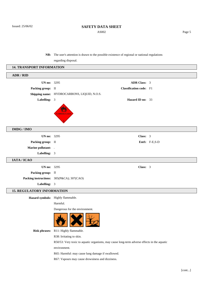AS002 Page 5

**NB:** The user's attention is drawn to the possible existence of regional or national regulations

regarding disposal.

| <b>14. TRANSPORT INFORMATION</b>  |                                                                                             |              |
|-----------------------------------|---------------------------------------------------------------------------------------------|--------------|
| ADR / RID                         |                                                                                             |              |
| <b>UN no:</b> 3295                | <b>ADR Class: 3</b>                                                                         |              |
| Packing group: II                 | <b>Classification code:</b> F1                                                              |              |
|                                   | Shipping name: HYDROCARBONS, LIQUID, N.O.S.                                                 |              |
| Labelling: 3                      | Hazard ID no: 33                                                                            |              |
|                                   | <b>AMMABLE LIQU</b>                                                                         |              |
| IMDG / IMO                        |                                                                                             |              |
| <b>UN no:</b> 3295                | Class: 3                                                                                    |              |
| Packing group: II                 |                                                                                             | EmS: F-E,S-D |
| Marine pollutant: .               |                                                                                             |              |
| Labelling: 3                      |                                                                                             |              |
| IATA / ICAO                       |                                                                                             |              |
| <b>UN no:</b> 3295                | Class: 3                                                                                    |              |
| Packing group: II                 |                                                                                             |              |
|                                   | Packing instructions: 305(P&CA); 307(CAO)                                                   |              |
| Labelling: 3                      |                                                                                             |              |
| <b>15. REGULATORY INFORMATION</b> |                                                                                             |              |
|                                   | Hazard symbols: Highly flammable.                                                           |              |
|                                   | Harmful.                                                                                    |              |
|                                   | Dangerous for the environment.                                                              |              |
|                                   | $\frac{1}{2}$                                                                               |              |
| <b>Risk phrases:</b>              | R11: Highly flammable.                                                                      |              |
|                                   | R38: Irritating to skin.                                                                    |              |
|                                   | R50/53: Very toxic to aquatic organisms, may cause long-term adverse effects in the aquatic |              |
|                                   | environment.                                                                                |              |
|                                   | R65: Harmful: may cause lung damage if swallowed.                                           |              |
|                                   | R67: Vapours may cause drowsiness and dizziness.                                            |              |